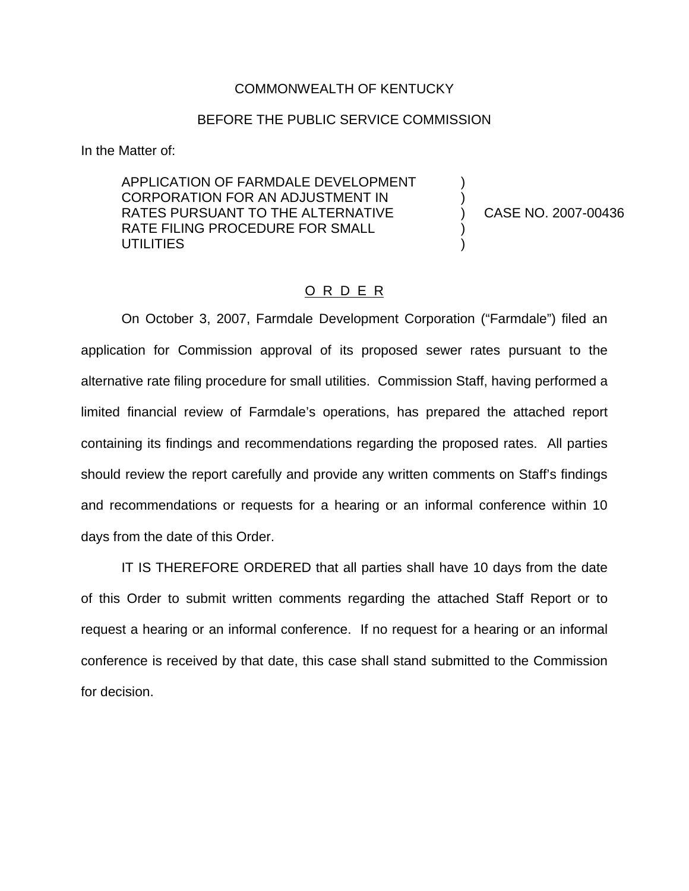## COMMONWEALTH OF KENTUCKY

## BEFORE THE PUBLIC SERVICE COMMISSION

In the Matter of:

APPLICATION OF FARMDALE DEVELOPMENT CORPORATION FOR AN ADJUSTMENT IN RATES PURSUANT TO THE ALTERNATIVE RATE FILING PROCEDURE FOR SMALL **UTILITIES** 

) CASE NO. 2007-00436

) )

) )

## O R D E R

On October 3, 2007, Farmdale Development Corporation ("Farmdale") filed an application for Commission approval of its proposed sewer rates pursuant to the alternative rate filing procedure for small utilities. Commission Staff, having performed a limited financial review of Farmdale's operations, has prepared the attached report containing its findings and recommendations regarding the proposed rates. All parties should review the report carefully and provide any written comments on Staff's findings and recommendations or requests for a hearing or an informal conference within 10 days from the date of this Order.

IT IS THEREFORE ORDERED that all parties shall have 10 days from the date of this Order to submit written comments regarding the attached Staff Report or to request a hearing or an informal conference. If no request for a hearing or an informal conference is received by that date, this case shall stand submitted to the Commission for decision.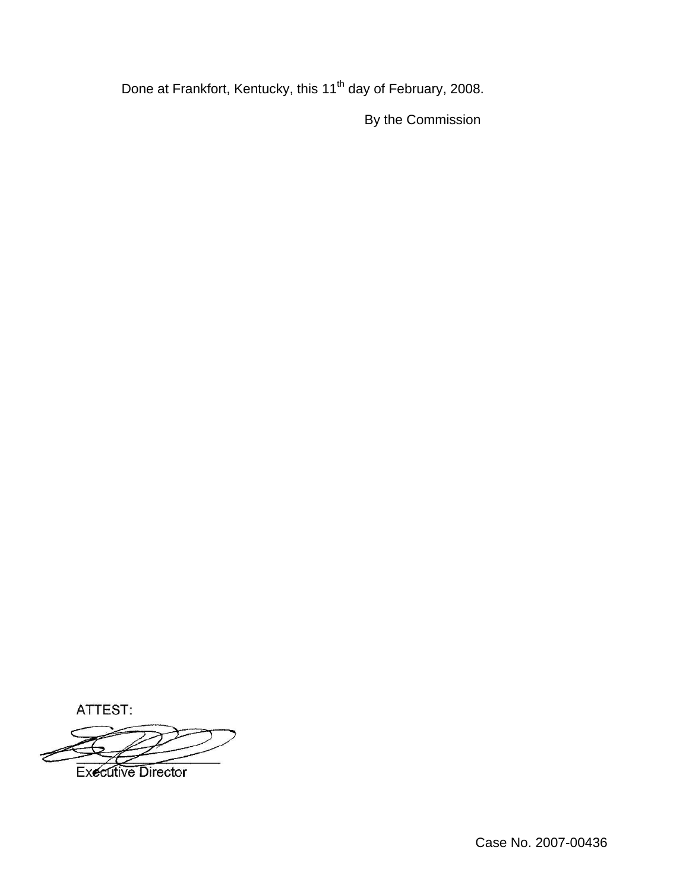Done at Frankfort, Kentucky, this 11<sup>th</sup> day of February, 2008.

By the Commission

ATTEST:

**Executive Director**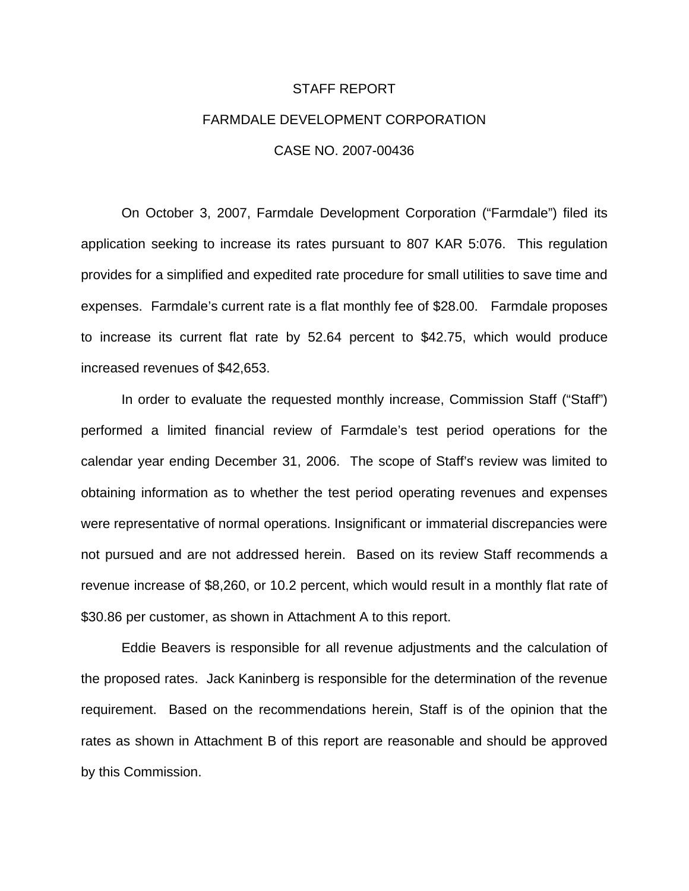# STAFF REPORT FARMDALE DEVELOPMENT CORPORATION CASE NO. 2007-00436

On October 3, 2007, Farmdale Development Corporation ("Farmdale") filed its application seeking to increase its rates pursuant to 807 KAR 5:076. This regulation provides for a simplified and expedited rate procedure for small utilities to save time and expenses. Farmdale's current rate is a flat monthly fee of \$28.00. Farmdale proposes to increase its current flat rate by 52.64 percent to \$42.75, which would produce increased revenues of \$42,653.

In order to evaluate the requested monthly increase, Commission Staff ("Staff") performed a limited financial review of Farmdale's test period operations for the calendar year ending December 31, 2006. The scope of Staff's review was limited to obtaining information as to whether the test period operating revenues and expenses were representative of normal operations. Insignificant or immaterial discrepancies were not pursued and are not addressed herein. Based on its review Staff recommends a revenue increase of \$8,260, or 10.2 percent, which would result in a monthly flat rate of \$30.86 per customer, as shown in Attachment A to this report.

Eddie Beavers is responsible for all revenue adjustments and the calculation of the proposed rates. Jack Kaninberg is responsible for the determination of the revenue requirement. Based on the recommendations herein, Staff is of the opinion that the rates as shown in Attachment B of this report are reasonable and should be approved by this Commission.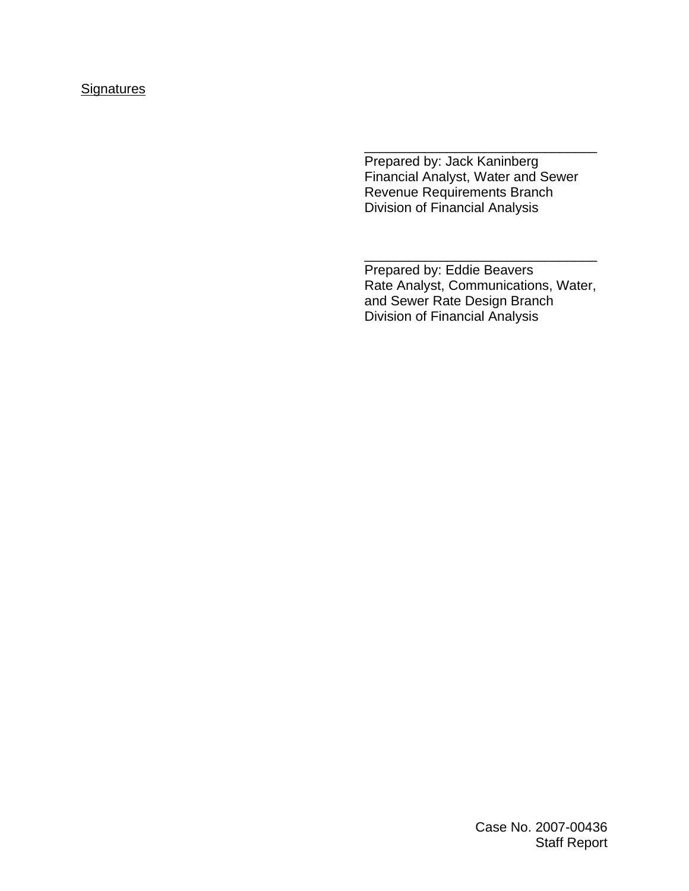# **Signatures**

Prepared by: Jack Kaninberg Financial Analyst, Water and Sewer Revenue Requirements Branch Division of Financial Analysis

\_\_\_\_\_\_\_\_\_\_\_\_\_\_\_\_\_\_\_\_\_\_\_\_\_\_\_\_\_\_\_

Prepared by: Eddie Beavers Rate Analyst, Communications, Water, and Sewer Rate Design Branch Division of Financial Analysis

\_\_\_\_\_\_\_\_\_\_\_\_\_\_\_\_\_\_\_\_\_\_\_\_\_\_\_\_\_\_\_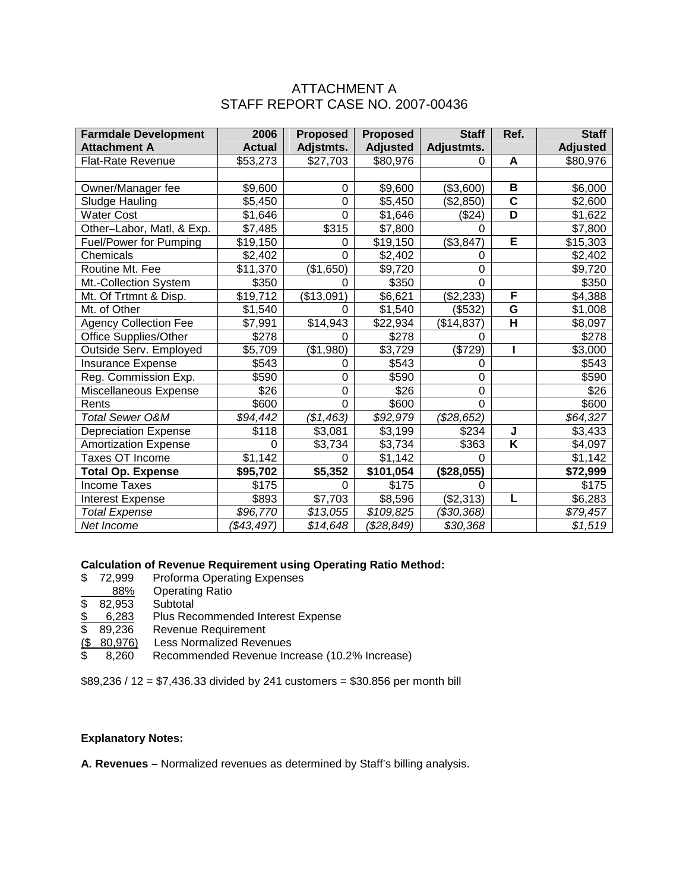## ATTACHMENT A STAFF REPORT CASE NO. 2007-00436

| <b>Farmdale Development</b>   | 2006          | <b>Proposed</b> | <b>Proposed</b>   | <b>Staff</b>   | Ref.                    | <b>Staff</b>    |
|-------------------------------|---------------|-----------------|-------------------|----------------|-------------------------|-----------------|
| <b>Attachment A</b>           | <b>Actual</b> | Adjstmts.       | <b>Adjusted</b>   | Adjustmts.     |                         | <b>Adjusted</b> |
| <b>Flat-Rate Revenue</b>      | \$53,273      | \$27,703        | \$80,976          | 0              | A                       | \$80,976        |
|                               |               |                 |                   |                |                         |                 |
| Owner/Manager fee             | \$9,600       | 0               | \$9,600           | (\$3,600)      | B                       | \$6,000         |
| Sludge Hauling                | \$5,450       | 0               | \$5,450           | (\$2,850)      | $\overline{\mathbf{c}}$ | \$2,600         |
| <b>Water Cost</b>             | \$1,646       | 0               | \$1,646           | (\$24)         | D                       | \$1,622         |
| Other-Labor, Matl, & Exp.     | \$7,485       | \$315           | \$7,800           | $\Omega$       |                         | \$7,800         |
| <b>Fuel/Power for Pumping</b> | \$19,150      | 0               | \$19,150          | (\$3,847)      | E                       | \$15,303        |
| Chemicals                     | \$2,402       | $\Omega$        | \$2,402           | 0              |                         | \$2,402         |
| Routine Mt. Fee               | \$11,370      | (\$1,650)       | \$9,720           | 0              |                         | \$9,720         |
| Mt.-Collection System         | \$350         | 0               | \$350             | 0              |                         | \$350           |
| Mt. Of Trtmnt & Disp.         | \$19,712      | (\$13,091)      | \$6,621           | (\$2,233)      | F                       | \$4,388         |
| Mt. of Other                  | \$1,540       | 0               | \$1,540           | (\$532)        | G                       | \$1,008         |
| <b>Agency Collection Fee</b>  | \$7,991       | \$14,943        | \$22,934          | (\$14,837)     | H                       | \$8,097         |
| Office Supplies/Other         | \$278         | 0               | \$278             | 0              |                         | \$278           |
| Outside Serv. Employed        | \$5,709       | (\$1,980)       | \$3,729           | (\$729)        |                         | \$3,000         |
| Insurance Expense             | \$543         | 0               | \$543             | 0              |                         | \$543           |
| Reg. Commission Exp.          | \$590         | 0               | \$590             | 0              |                         | \$590           |
| Miscellaneous Expense         | \$26          | 0               | \$26              | 0              |                         | \$26            |
| Rents                         | \$600         | 0               | $\overline{$}600$ | $\overline{0}$ |                         | \$600           |
| Total Sewer O&M               | \$94,442      | (\$1,463)       | \$92,979          | (\$28,652)     |                         | \$64,327        |
| <b>Depreciation Expense</b>   | \$118         | \$3,081         | \$3,199           | \$234          | J                       | \$3,433         |
| <b>Amortization Expense</b>   | 0             | \$3,734         | \$3,734           | \$363          | Κ                       | \$4,097         |
| Taxes OT Income               | \$1,142       | 0               | \$1,142           | 0              |                         | \$1,142         |
| <b>Total Op. Expense</b>      | \$95,702      | \$5,352         | \$101,054         | (\$28,055)     |                         | \$72,999        |
| <b>Income Taxes</b>           | \$175         | 0               | \$175             | 0              |                         | \$175           |
| <b>Interest Expense</b>       | \$893         | \$7,703         | \$8,596           | (\$2,313)      | L                       | \$6,283         |
| <b>Total Expense</b>          | \$96,770      | \$13,055        | \$109,825         | (\$30,368)     |                         | \$79,457        |
| Net Income                    | (\$43,497)    | \$14,648        | (\$28,849)        | \$30,368       |                         | \$1,519         |

#### **Calculation of Revenue Requirement using Operating Ratio Method:**

- \$72,999 Proforma Operating Expenses
- 88% Operating Ratio<br>32,953 Subtotal
- $\overline{\$}$  82,953
- \$ 6,283 Plus Recommended Interest Expense
- \$ 89,236 Revenue Requirement
- (\$ 80,976) Less Normalized Revenues
- \$ 8,260 Recommended Revenue Increase (10.2% Increase)

\$89,236 / 12 = \$7,436.33 divided by 241 customers = \$30.856 per month bill

#### **Explanatory Notes:**

**A. Revenues –** Normalized revenues as determined by Staff's billing analysis.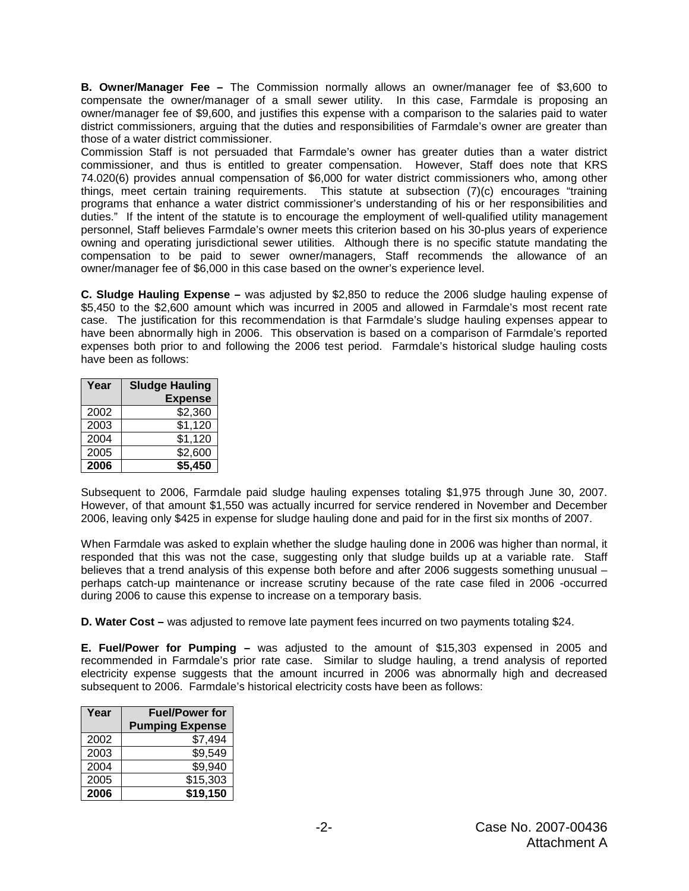**B. Owner/Manager Fee –** The Commission normally allows an owner/manager fee of \$3,600 to compensate the owner/manager of a small sewer utility. In this case, Farmdale is proposing an owner/manager fee of \$9,600, and justifies this expense with a comparison to the salaries paid to water district commissioners, arguing that the duties and responsibilities of Farmdale's owner are greater than those of a water district commissioner.

Commission Staff is not persuaded that Farmdale's owner has greater duties than a water district commissioner, and thus is entitled to greater compensation. However, Staff does note that KRS 74.020(6) provides annual compensation of \$6,000 for water district commissioners who, among other things, meet certain training requirements. This statute at subsection (7)(c) encourages "training programs that enhance a water district commissioner's understanding of his or her responsibilities and duties." If the intent of the statute is to encourage the employment of well-qualified utility management personnel, Staff believes Farmdale's owner meets this criterion based on his 30-plus years of experience owning and operating jurisdictional sewer utilities. Although there is no specific statute mandating the compensation to be paid to sewer owner/managers, Staff recommends the allowance of an owner/manager fee of \$6,000 in this case based on the owner's experience level.

**C. Sludge Hauling Expense –** was adjusted by \$2,850 to reduce the 2006 sludge hauling expense of \$5,450 to the \$2,600 amount which was incurred in 2005 and allowed in Farmdale's most recent rate case. The justification for this recommendation is that Farmdale's sludge hauling expenses appear to have been abnormally high in 2006. This observation is based on a comparison of Farmdale's reported expenses both prior to and following the 2006 test period. Farmdale's historical sludge hauling costs have been as follows:

| Year | <b>Sludge Hauling</b> |  |  |  |
|------|-----------------------|--|--|--|
|      | <b>Expense</b>        |  |  |  |
| 2002 | \$2,360               |  |  |  |
| 2003 | \$1,120               |  |  |  |
| 2004 | \$1,120               |  |  |  |
| 2005 | \$2,600               |  |  |  |
| 2006 | \$5,450               |  |  |  |

Subsequent to 2006, Farmdale paid sludge hauling expenses totaling \$1,975 through June 30, 2007. However, of that amount \$1,550 was actually incurred for service rendered in November and December 2006, leaving only \$425 in expense for sludge hauling done and paid for in the first six months of 2007.

When Farmdale was asked to explain whether the sludge hauling done in 2006 was higher than normal, it responded that this was not the case, suggesting only that sludge builds up at a variable rate. Staff believes that a trend analysis of this expense both before and after 2006 suggests something unusual – perhaps catch-up maintenance or increase scrutiny because of the rate case filed in 2006 -occurred during 2006 to cause this expense to increase on a temporary basis.

**D. Water Cost –** was adjusted to remove late payment fees incurred on two payments totaling \$24.

**E. Fuel/Power for Pumping –** was adjusted to the amount of \$15,303 expensed in 2005 and recommended in Farmdale's prior rate case. Similar to sludge hauling, a trend analysis of reported electricity expense suggests that the amount incurred in 2006 was abnormally high and decreased subsequent to 2006. Farmdale's historical electricity costs have been as follows:

| Year | <b>Fuel/Power for</b>  |  |  |
|------|------------------------|--|--|
|      | <b>Pumping Expense</b> |  |  |
| 2002 | \$7,494                |  |  |
| 2003 | \$9,549                |  |  |
| 2004 | $\overline{39,940}$    |  |  |
| 2005 | \$15,303               |  |  |
| 2006 | \$19,150               |  |  |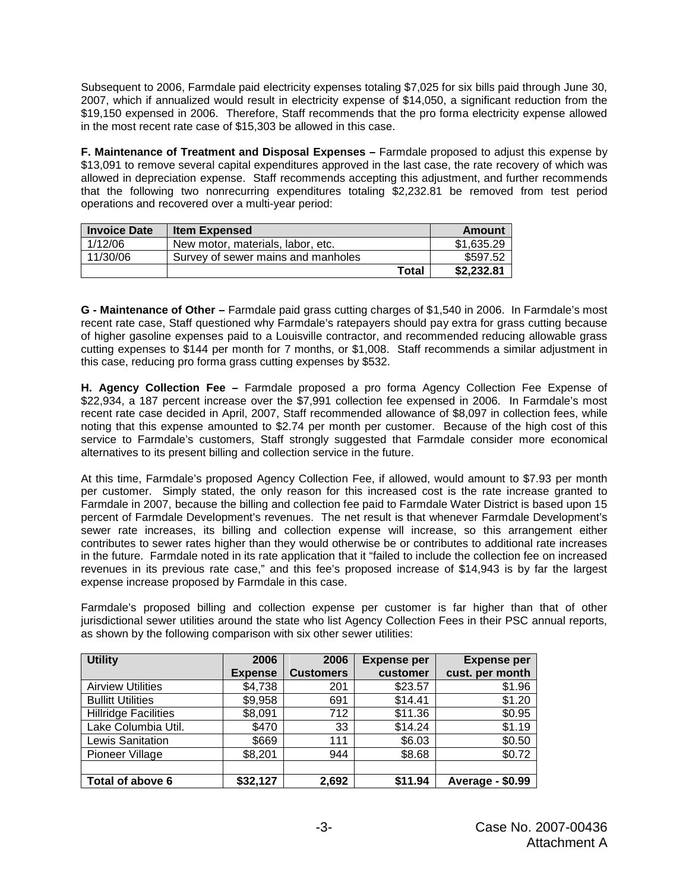Subsequent to 2006, Farmdale paid electricity expenses totaling \$7,025 for six bills paid through June 30, 2007, which if annualized would result in electricity expense of \$14,050, a significant reduction from the \$19,150 expensed in 2006. Therefore, Staff recommends that the pro forma electricity expense allowed in the most recent rate case of \$15,303 be allowed in this case.

**F. Maintenance of Treatment and Disposal Expenses –** Farmdale proposed to adjust this expense by \$13,091 to remove several capital expenditures approved in the last case, the rate recovery of which was allowed in depreciation expense. Staff recommends accepting this adjustment, and further recommends that the following two nonrecurring expenditures totaling \$2,232.81 be removed from test period operations and recovered over a multi-year period:

| <b>Invoice Date</b> | <b>Item Expensed</b>               | Amount     |
|---------------------|------------------------------------|------------|
| 1/12/06             | New motor, materials, labor, etc.  | \$1,635.29 |
| 11/30/06            | Survey of sewer mains and manholes | \$597.52   |
|                     | <b>Total</b>                       | \$2,232.81 |

**G - Maintenance of Other –** Farmdale paid grass cutting charges of \$1,540 in 2006. In Farmdale's most recent rate case, Staff questioned why Farmdale's ratepayers should pay extra for grass cutting because of higher gasoline expenses paid to a Louisville contractor, and recommended reducing allowable grass cutting expenses to \$144 per month for 7 months, or \$1,008. Staff recommends a similar adjustment in this case, reducing pro forma grass cutting expenses by \$532.

**H. Agency Collection Fee –** Farmdale proposed a pro forma Agency Collection Fee Expense of \$22,934, a 187 percent increase over the \$7,991 collection fee expensed in 2006. In Farmdale's most recent rate case decided in April, 2007, Staff recommended allowance of \$8,097 in collection fees, while noting that this expense amounted to \$2.74 per month per customer. Because of the high cost of this service to Farmdale's customers, Staff strongly suggested that Farmdale consider more economical alternatives to its present billing and collection service in the future.

At this time, Farmdale's proposed Agency Collection Fee, if allowed, would amount to \$7.93 per month per customer. Simply stated, the only reason for this increased cost is the rate increase granted to Farmdale in 2007, because the billing and collection fee paid to Farmdale Water District is based upon 15 percent of Farmdale Development's revenues. The net result is that whenever Farmdale Development's sewer rate increases, its billing and collection expense will increase, so this arrangement either contributes to sewer rates higher than they would otherwise be or contributes to additional rate increases in the future. Farmdale noted in its rate application that it "failed to include the collection fee on increased revenues in its previous rate case," and this fee's proposed increase of \$14,943 is by far the largest expense increase proposed by Farmdale in this case.

Farmdale's proposed billing and collection expense per customer is far higher than that of other jurisdictional sewer utilities around the state who list Agency Collection Fees in their PSC annual reports, as shown by the following comparison with six other sewer utilities:

| <b>Utility</b>              | 2006           | 2006             | <b>Expense per</b> | <b>Expense per</b>  |  |
|-----------------------------|----------------|------------------|--------------------|---------------------|--|
|                             | <b>Expense</b> | <b>Customers</b> | customer           | cust. per month     |  |
| <b>Airview Utilities</b>    | \$4,738        | 201              | \$23.57            | \$1.96              |  |
| <b>Bullitt Utilities</b>    | \$9,958        | 691              | \$14.41            | \$1.20              |  |
| <b>Hillridge Facilities</b> | \$8,091        | 712              | \$11.36            | \$0.95              |  |
| Lake Columbia Util.         | \$470          | 33               | \$14.24            | \$1.19              |  |
| Lewis Sanitation            | \$669          | 111              | \$6.03             | \$0.50              |  |
| Pioneer Village             | \$8,201        | 944              | \$8.68             | \$0.72              |  |
|                             |                |                  |                    |                     |  |
| Total of above 6            | \$32,127       | 2,692            | \$11.94            | \$0.99<br>Average - |  |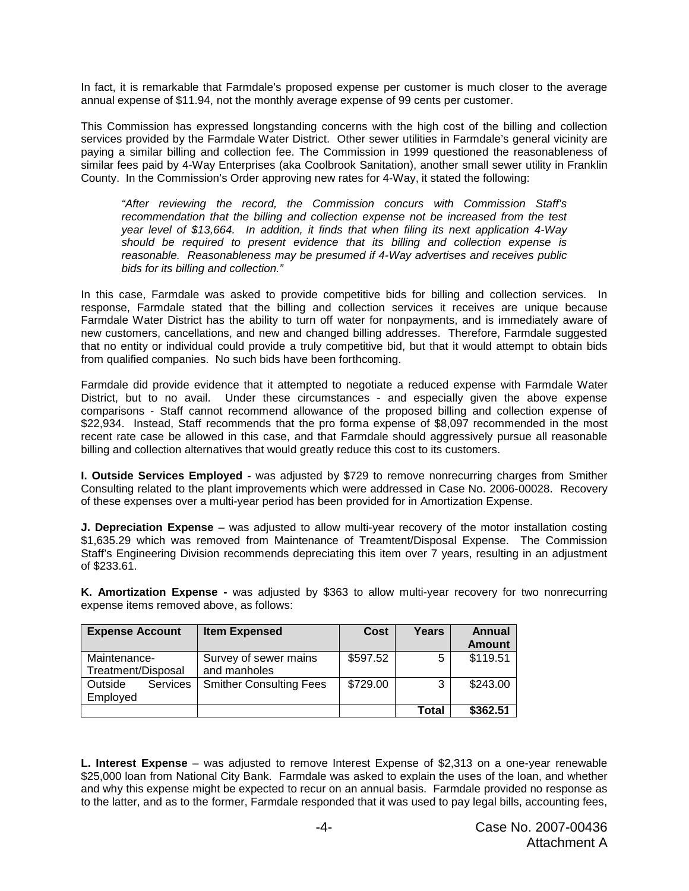In fact, it is remarkable that Farmdale's proposed expense per customer is much closer to the average annual expense of \$11.94, not the monthly average expense of 99 cents per customer.

This Commission has expressed longstanding concerns with the high cost of the billing and collection services provided by the Farmdale Water District. Other sewer utilities in Farmdale's general vicinity are paying a similar billing and collection fee. The Commission in 1999 questioned the reasonableness of similar fees paid by 4-Way Enterprises (aka Coolbrook Sanitation), another small sewer utility in Franklin County. In the Commission's Order approving new rates for 4-Way, it stated the following:

*"After reviewing the record, the Commission concurs with Commission Staff's recommendation that the billing and collection expense not be increased from the test year level of \$13,664. In addition, it finds that when filing its next application 4-Way should be required to present evidence that its billing and collection expense is reasonable. Reasonableness may be presumed if 4-Way advertises and receives public bids for its billing and collection."*

In this case, Farmdale was asked to provide competitive bids for billing and collection services. In response, Farmdale stated that the billing and collection services it receives are unique because Farmdale Water District has the ability to turn off water for nonpayments, and is immediately aware of new customers, cancellations, and new and changed billing addresses. Therefore, Farmdale suggested that no entity or individual could provide a truly competitive bid, but that it would attempt to obtain bids from qualified companies. No such bids have been forthcoming.

Farmdale did provide evidence that it attempted to negotiate a reduced expense with Farmdale Water District, but to no avail. Under these circumstances - and especially given the above expense comparisons - Staff cannot recommend allowance of the proposed billing and collection expense of \$22,934. Instead, Staff recommends that the pro forma expense of \$8,097 recommended in the most recent rate case be allowed in this case, and that Farmdale should aggressively pursue all reasonable billing and collection alternatives that would greatly reduce this cost to its customers.

**I. Outside Services Employed -** was adjusted by \$729 to remove nonrecurring charges from Smither Consulting related to the plant improvements which were addressed in Case No. 2006-00028. Recovery of these expenses over a multi-year period has been provided for in Amortization Expense.

**J. Depreciation Expense** – was adjusted to allow multi-year recovery of the motor installation costing \$1,635.29 which was removed from Maintenance of Treamtent/Disposal Expense. The Commission Staff's Engineering Division recommends depreciating this item over 7 years, resulting in an adjustment of \$233.61.

**K. Amortization Expense -** was adjusted by \$363 to allow multi-year recovery for two nonrecurring expense items removed above, as follows:

| <b>Expense Account</b>                 | <b>Item Expensed</b>                  | <b>Cost</b> | Years | Annual<br><b>Amount</b> |
|----------------------------------------|---------------------------------------|-------------|-------|-------------------------|
| Maintenance-<br>Treatment/Disposal     | Survey of sewer mains<br>and manholes | \$597.52    | 5     | \$119.51                |
| Outside<br><b>Services</b><br>Employed | <b>Smither Consulting Fees</b>        | \$729.00    | 3     | \$243.00                |
|                                        |                                       |             | Total | \$362.51                |

**L. Interest Expense** – was adjusted to remove Interest Expense of \$2,313 on a one-year renewable \$25,000 loan from National City Bank. Farmdale was asked to explain the uses of the loan, and whether and why this expense might be expected to recur on an annual basis. Farmdale provided no response as to the latter, and as to the former, Farmdale responded that it was used to pay legal bills, accounting fees,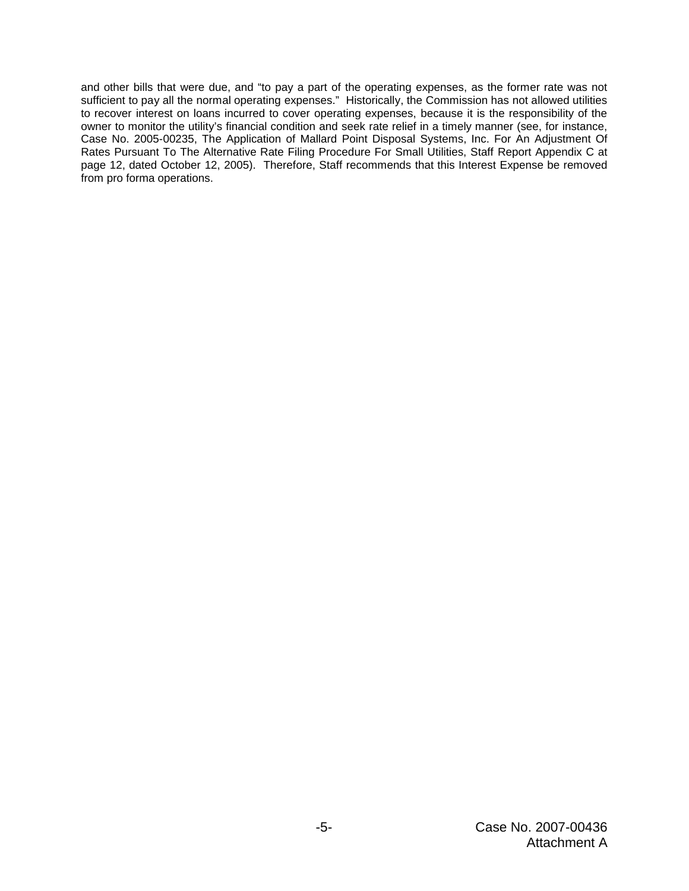and other bills that were due, and "to pay a part of the operating expenses, as the former rate was not sufficient to pay all the normal operating expenses." Historically, the Commission has not allowed utilities to recover interest on loans incurred to cover operating expenses, because it is the responsibility of the owner to monitor the utility's financial condition and seek rate relief in a timely manner (see, for instance, Case No. 2005-00235, The Application of Mallard Point Disposal Systems, Inc. For An Adjustment Of Rates Pursuant To The Alternative Rate Filing Procedure For Small Utilities, Staff Report Appendix C at page 12, dated October 12, 2005). Therefore, Staff recommends that this Interest Expense be removed from pro forma operations.